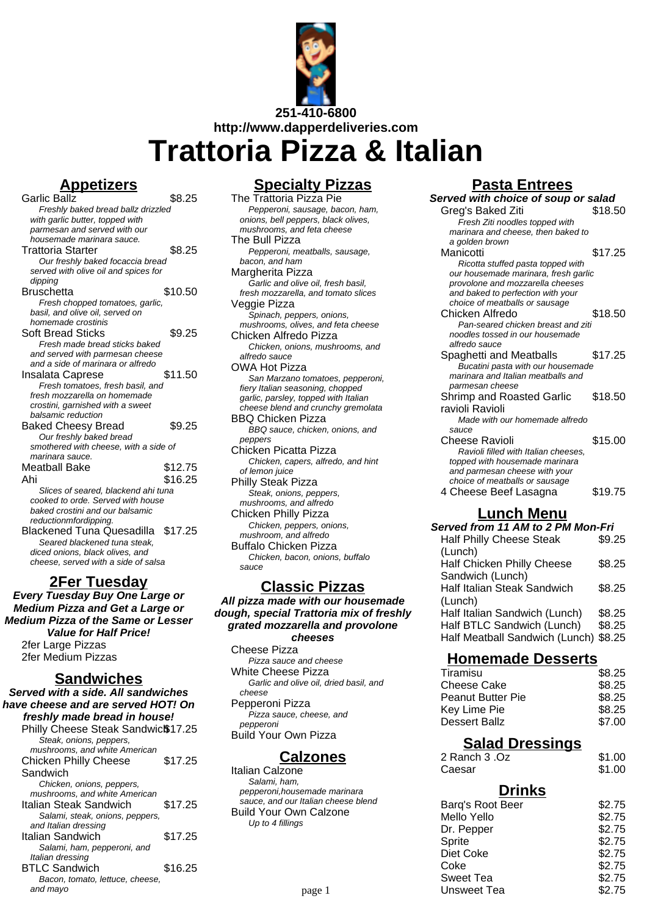

# **Trattoria Pizza & Italian**

#### **Appetizers**

Garlic Ballz \$8.25 Freshly baked bread ballz drizzled with garlic butter, topped with parmesan and served with our housemade marinara sauce. Trattoria Starter **\$8.25** Our freshly baked focaccia bread served with olive oil and spices for dipping Bruschetta \$10.50 Fresh chopped tomatoes, garlic, basil, and olive oil, served on homemade crostinis Soft Bread Sticks \$9.25 Fresh made bread sticks baked and served with parmesan cheese and a side of marinara or alfredo Insalata Caprese \$11.50 Fresh tomatoes, fresh basil, and fresh mozzarella on homemade crostini, garnished with a sweet balsamic reduction Baked Cheesy Bread \$9.25 Our freshly baked bread smothered with cheese, with a side of marinara sauce. Meatball Bake \$12.75 Ahi \$16.25 Slices of seared, blackend ahi tuna cooked to orde. Served with house baked crostini and our balsamic reductionmfordipping. Blackened Tuna Quesadilla \$17.25 Seared blackened tuna steak, diced onions, black olives, and cheese, served with a side of salsa

#### **2Fer Tuesday**

**Every Tuesday Buy One Large or Medium Pizza and Get a Large or Medium Pizza of the Same or Lesser Value for Half Price!** 2fer Large Pizzas 2fer Medium Pizzas

#### **Sandwiches**

**Served with a side. All sandwiches have cheese and are served HOT! On freshly made bread in house!** Philly Cheese Steak Sandwic<sup>\$</sup>17.25 Steak, onions, peppers,

| \$17.25 |
|---------|
|         |
|         |
|         |
| \$17.25 |
|         |
|         |
| \$17.25 |
|         |
|         |
| \$16.25 |
|         |
|         |
|         |

#### **Specialty Pizzas**

The Trattoria Pizza Pie Pepperoni, sausage, bacon, ham, onions, bell peppers, black olives, mushrooms, and feta cheese The Bull Pizza Pepperoni, meatballs, sausage, bacon, and ham Margherita Pizza Garlic and olive oil, fresh basil, fresh mozzarella, and tomato slices Veggie Pizza Spinach, peppers, onions, mushrooms, olives, and feta cheese Chicken Alfredo Pizza Chicken, onions, mushrooms, and alfredo sauce OWA Hot Pizza San Marzano tomatoes, pepperoni, fiery Italian seasoning, chopped nery naman beasening, enepped<br>garlic, parsley, topped with Italian cheese blend and crunchy gremolata BBQ Chicken Pizza BBQ sauce, chicken, onions, and peppers Chicken Picatta Pizza Chicken, capers, alfredo, and hint of lemon juice Philly Steak Pizza Steak, onions, peppers, mushrooms, and alfredo Chicken Philly Pizza Chicken, peppers, onions, mushroom, and alfredo Buffalo Chicken Pizza Chicken, bacon, onions, buffalo sauce

#### **Classic Pizzas**

**All pizza made with our housemade dough, special Trattoria mix of freshly grated mozzarella and provolone cheeses**

Cheese Pizza Pizza sauce and cheese White Cheese Pizza Garlic and olive oil, dried basil, and cheese Pepperoni Pizza Pizza sauce, cheese, and pepperoni Build Your Own Pizza

#### **Calzones**

Italian Calzone Salami, ham, pepperoni,housemade marinara sauce, and our Italian cheese blend Build Your Own Calzone Up to 4 fillings

#### **Pasta Entrees**

| Served with choice of soup or salad                                     |         |
|-------------------------------------------------------------------------|---------|
| Greg's Baked Ziti                                                       | \$18.50 |
| Fresh Ziti noodles topped with                                          |         |
| marinara and cheese, then baked to                                      |         |
| a golden brown                                                          |         |
| Manicotti                                                               | \$17.25 |
| Ricotta stuffed pasta topped with                                       |         |
| our housemade marinara, fresh garlic                                    |         |
| provolone and mozzarella cheeses                                        |         |
| and baked to perfection with your                                       |         |
| choice of meatballs or sausage                                          |         |
| Chicken Alfredo                                                         | \$18.50 |
| Pan-seared chicken breast and ziti                                      |         |
| noodles tossed in our housemade<br>alfredo sauce                        |         |
|                                                                         | \$17.25 |
| Spaghetti and Meatballs                                                 |         |
| Bucatini pasta with our housemade<br>marinara and Italian meatballs and |         |
| parmesan cheese                                                         |         |
| <b>Shrimp and Roasted Garlic</b>                                        | \$18.50 |
| ravioli Ravioli                                                         |         |
| Made with our homemade alfredo                                          |         |
| sauce                                                                   |         |
| Cheese Ravioli                                                          | \$15.00 |
| Ravioli filled with Italian cheeses,                                    |         |
| topped with housemade marinara                                          |         |
| and parmesan cheese with your                                           |         |
| choice of meatballs or sausage                                          |         |
| 4 Cheese Beef Lasagna                                                   | \$19.75 |
| uneh                                                                    |         |
|                                                                         |         |

#### **Lunch Menu Served from 11 AM to 2 PM Mon-Fri**

Half Philly Cheese Steak (Lunch) \$9.25 Half Chicken Philly Cheese Sandwich (Lunch) \$8.25 Half Italian Steak Sandwich (Lunch) \$8.25 Half Italian Sandwich (Lunch) \$8.25 Half BTLC Sandwich (Lunch) \$8.25 Half Meatball Sandwich (Lunch) \$8.25

#### **Homemade Desserts**

| Tiramisu                 | \$8.25 |
|--------------------------|--------|
| Cheese Cake              | \$8.25 |
| <b>Peanut Butter Pie</b> | \$8.25 |
| Key Lime Pie             | \$8.25 |
| Dessert Ballz            | \$7.00 |
|                          |        |

#### **Salad Dressings**

| 2 Ranch 3 .Oz | \$1.00 |
|---------------|--------|
| Caesar        | \$1.00 |

#### **Drinks**

| talian cheese blend | Barq's Root Beer | \$2.75 |
|---------------------|------------------|--------|
| n Calzone           | Mello Yello      | \$2.75 |
|                     | Dr. Pepper       | \$2.75 |
|                     | Sprite           | \$2.75 |
|                     | Diet Coke        | \$2.75 |
|                     | Coke             | \$2.75 |
|                     | Sweet Tea        | \$2.75 |
| page 1              | Unsweet Tea      | \$2.75 |
|                     |                  |        |